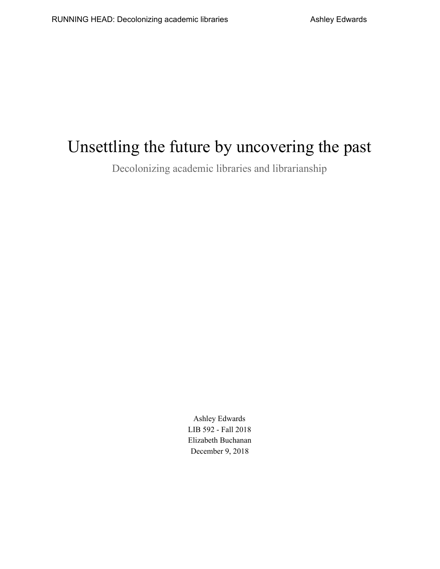# Unsettling the future by uncovering the past

Decolonizing academic libraries and librarianship

Ashley Edwards LIB 592 - Fall 2018 Elizabeth Buchanan December 9, 2018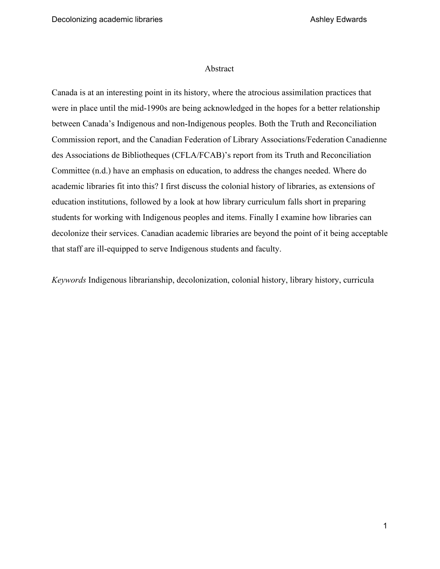#### Abstract

Canada is at an interesting point in its history, where the atrocious assimilation practices that were in place until the mid-1990s are being acknowledged in the hopes for a better relationship between Canada's Indigenous and non-Indigenous peoples. Both the Truth and Reconciliation Commission report, and the Canadian Federation of Library Associations/Federation Canadienne des Associations de Bibliotheques (CFLA/FCAB)'s report from its Truth and Reconciliation Committee (n.d.) have an emphasis on education, to address the changes needed. Where do academic libraries fit into this? I first discuss the colonial history of libraries, as extensions of education institutions, followed by a look at how library curriculum falls short in preparing students for working with Indigenous peoples and items. Finally I examine how libraries can decolonize their services. Canadian academic libraries are beyond the point of it being acceptable that staff are ill-equipped to serve Indigenous students and faculty.

*Keywords* Indigenous librarianship, decolonization, colonial history, library history, curricula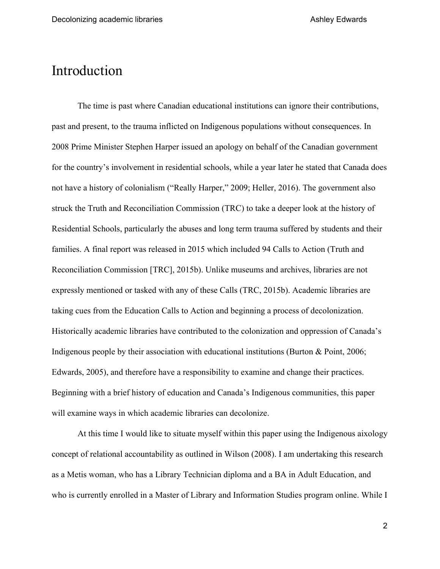#### Introduction

The time is past where Canadian educational institutions can ignore their contributions, past and present, to the trauma inflicted on Indigenous populations without consequences. In 2008 Prime Minister Stephen Harper issued an apology on behalf of the Canadian government for the country's involvement in residential schools, while a year later he stated that Canada does not have a history of colonialism ("Really Harper," 2009; Heller, 2016). The government also struck the Truth and Reconciliation Commission (TRC) to take a deeper look at the history of Residential Schools, particularly the abuses and long term trauma suffered by students and their families. A final report was released in 2015 which included 94 Calls to Action (Truth and Reconciliation Commission [TRC], 2015b). Unlike museums and archives, libraries are not expressly mentioned or tasked with any of these Calls (TRC, 2015b). Academic libraries are taking cues from the Education Calls to Action and beginning a process of decolonization. Historically academic libraries have contributed to the colonization and oppression of Canada's Indigenous people by their association with educational institutions (Burton & Point, 2006; Edwards, 2005), and therefore have a responsibility to examine and change their practices. Beginning with a brief history of education and Canada's Indigenous communities, this paper will examine ways in which academic libraries can decolonize.

At this time I would like to situate myself within this paper using the Indigenous aixology concept of relational accountability as outlined in Wilson (2008). I am undertaking this research as a Metis woman, who has a Library Technician diploma and a BA in Adult Education, and who is currently enrolled in a Master of Library and Information Studies program online. While I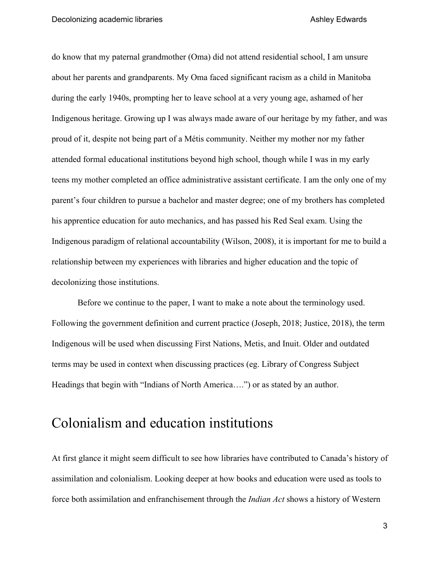do know that my paternal grandmother (Oma) did not attend residential school, I am unsure about her parents and grandparents. My Oma faced significant racism as a child in Manitoba during the early 1940s, prompting her to leave school at a very young age, ashamed of her Indigenous heritage. Growing up I was always made aware of our heritage by my father, and was proud of it, despite not being part of a Métis community. Neither my mother nor my father attended formal educational institutions beyond high school, though while I was in my early teens my mother completed an office administrative assistant certificate. I am the only one of my parent's four children to pursue a bachelor and master degree; one of my brothers has completed his apprentice education for auto mechanics, and has passed his Red Seal exam. Using the Indigenous paradigm of relational accountability (Wilson, 2008), it is important for me to build a relationship between my experiences with libraries and higher education and the topic of decolonizing those institutions.

Before we continue to the paper, I want to make a note about the terminology used. Following the government definition and current practice (Joseph, 2018; Justice, 2018), the term Indigenous will be used when discussing First Nations, Metis, and Inuit. Older and outdated terms may be used in context when discussing practices (eg. Library of Congress Subject Headings that begin with "Indians of North America….") or as stated by an author.

### Colonialism and education institutions

At first glance it might seem difficult to see how libraries have contributed to Canada's history of assimilation and colonialism. Looking deeper at how books and education were used as tools to force both assimilation and enfranchisement through the *Indian Act* shows a history of Western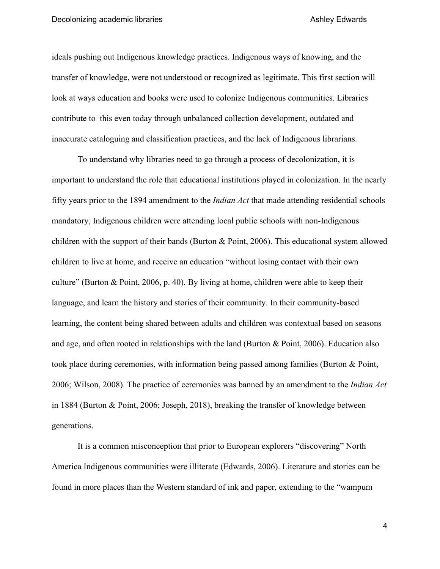ideals pushing out Indigenous knowledge practices. Indigenous ways of knowing, and the transfer of knowledge, were not understood or recognized as legitimate. This first section will look at ways education and books were used to colonize Indigenous communities. Libraries contribute to this even today through unbalanced collection development, outdated and inaccurate cataloguing and classification practices, and the lack of Indigenous librarians.

To understand why libraries need to go through a process of decolonization, it is important to understand the role that educational institutions played in colonization. In the nearly fifty years prior to the 1894 amendment to the *Indian Act* that made attending residential schools mandatory, Indigenous children were attending local public schools with non-Indigenous children with the support of their bands (Burton & Point, 2006). This educational system allowed children to live at home, and receive an education "without losing contact with their own culture" (Burton & Point, 2006, p. 40). By living at home, children were able to keep their language, and learn the history and stories of their community. In their community-based learning, the content being shared between adults and children was contextual based on seasons and age, and often rooted in relationships with the land (Burton & Point, 2006). Education also took place during ceremonies, with information being passed among families (Burton & Point, 2006; Wilson, 2008). The practice of ceremonies was banned by an amendment to the *Indian Act* in 1884 (Burton & Point, 2006; Joseph, 2018), breaking the transfer of knowledge between generations.

It is a common misconception that prior to European explorers "discovering" North America Indigenous communities were illiterate (Edwards, 2006). Literature and stories can be found in more places than the Western standard of ink and paper, extending to the "wampum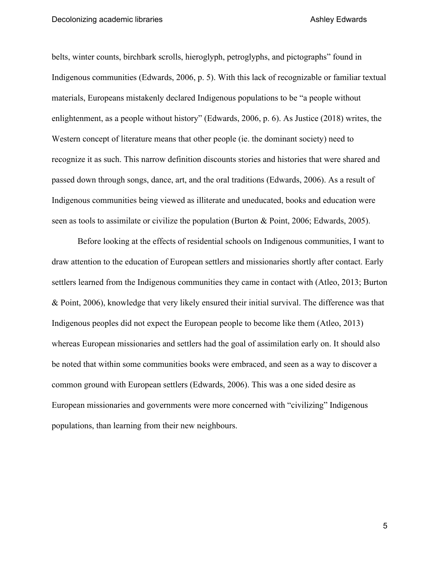belts, winter counts, birchbark scrolls, hieroglyph, petroglyphs, and pictographs" found in Indigenous communities (Edwards, 2006, p. 5). With this lack of recognizable or familiar textual materials, Europeans mistakenly declared Indigenous populations to be "a people without enlightenment, as a people without history" (Edwards, 2006, p. 6). As Justice (2018) writes, the Western concept of literature means that other people (ie. the dominant society) need to recognize it as such. This narrow definition discounts stories and histories that were shared and passed down through songs, dance, art, and the oral traditions (Edwards, 2006). As a result of Indigenous communities being viewed as illiterate and uneducated, books and education were seen as tools to assimilate or civilize the population (Burton & Point, 2006; Edwards, 2005).

Before looking at the effects of residential schools on Indigenous communities, I want to draw attention to the education of European settlers and missionaries shortly after contact. Early settlers learned from the Indigenous communities they came in contact with (Atleo, 2013; Burton & Point, 2006), knowledge that very likely ensured their initial survival. The difference was that Indigenous peoples did not expect the European people to become like them (Atleo, 2013) whereas European missionaries and settlers had the goal of assimilation early on. It should also be noted that within some communities books were embraced, and seen as a way to discover a common ground with European settlers (Edwards, 2006). This was a one sided desire as European missionaries and governments were more concerned with "civilizing" Indigenous populations, than learning from their new neighbours.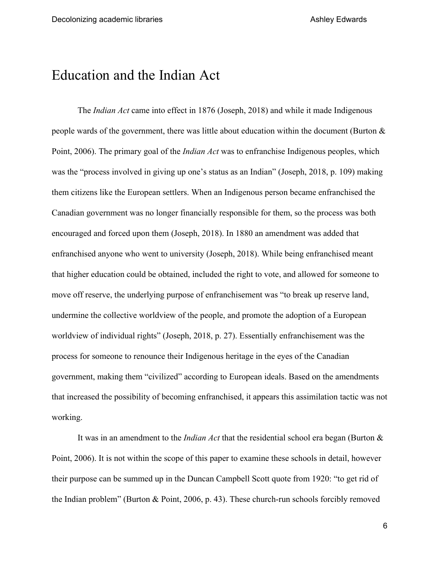## Education and the Indian Act

The *Indian Act* came into effect in 1876 (Joseph, 2018) and while it made Indigenous people wards of the government, there was little about education within the document (Burton & Point, 2006). The primary goal of the *Indian Act* was to enfranchise Indigenous peoples, which was the "process involved in giving up one's status as an Indian" (Joseph, 2018, p. 109) making them citizens like the European settlers. When an Indigenous person became enfranchised the Canadian government was no longer financially responsible for them, so the process was both encouraged and forced upon them (Joseph, 2018). In 1880 an amendment was added that enfranchised anyone who went to university (Joseph, 2018). While being enfranchised meant that higher education could be obtained, included the right to vote, and allowed for someone to move off reserve, the underlying purpose of enfranchisement was "to break up reserve land, undermine the collective worldview of the people, and promote the adoption of a European worldview of individual rights" (Joseph, 2018, p. 27). Essentially enfranchisement was the process for someone to renounce their Indigenous heritage in the eyes of the Canadian government, making them "civilized" according to European ideals. Based on the amendments that increased the possibility of becoming enfranchised, it appears this assimilation tactic was not working.

It was in an amendment to the *Indian Act* that the residential school era began (Burton & Point, 2006). It is not within the scope of this paper to examine these schools in detail, however their purpose can be summed up in the Duncan Campbell Scott quote from 1920: "to get rid of the Indian problem" (Burton & Point, 2006, p. 43). These church-run schools forcibly removed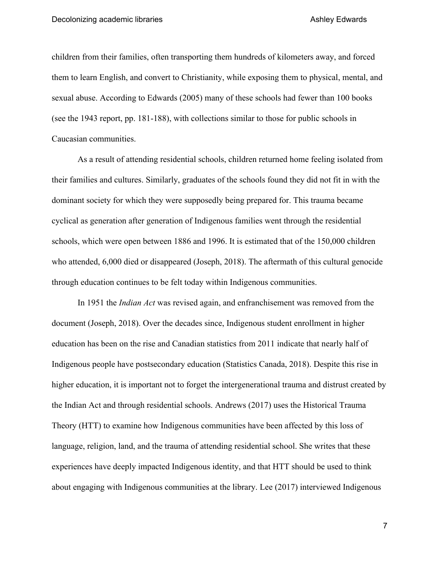children from their families, often transporting them hundreds of kilometers away, and forced them to learn English, and convert to Christianity, while exposing them to physical, mental, and sexual abuse. According to Edwards (2005) many of these schools had fewer than 100 books (see the 1943 report, pp. 181-188), with collections similar to those for public schools in Caucasian communities.

As a result of attending residential schools, children returned home feeling isolated from their families and cultures. Similarly, graduates of the schools found they did not fit in with the dominant society for which they were supposedly being prepared for. This trauma became cyclical as generation after generation of Indigenous families went through the residential schools, which were open between 1886 and 1996. It is estimated that of the 150,000 children who attended, 6,000 died or disappeared (Joseph, 2018). The aftermath of this cultural genocide through education continues to be felt today within Indigenous communities.

In 1951 the *Indian Act* was revised again, and enfranchisement was removed from the document (Joseph, 2018). Over the decades since, Indigenous student enrollment in higher education has been on the rise and Canadian statistics from 2011 indicate that nearly half of Indigenous people have postsecondary education (Statistics Canada, 2018). Despite this rise in higher education, it is important not to forget the intergenerational trauma and distrust created by the Indian Act and through residential schools. Andrews (2017) uses the Historical Trauma Theory (HTT) to examine how Indigenous communities have been affected by this loss of language, religion, land, and the trauma of attending residential school. She writes that these experiences have deeply impacted Indigenous identity, and that HTT should be used to think about engaging with Indigenous communities at the library. Lee (2017) interviewed Indigenous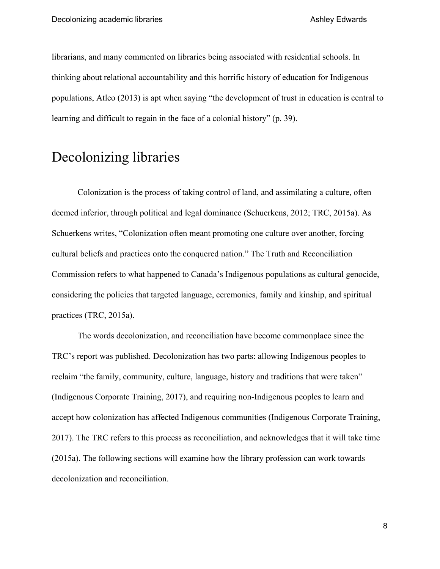librarians, and many commented on libraries being associated with residential schools. In thinking about relational accountability and this horrific history of education for Indigenous populations, Atleo (2013) is apt when saying "the development of trust in education is central to learning and difficult to regain in the face of a colonial history" (p. 39).

## Decolonizing libraries

Colonization is the process of taking control of land, and assimilating a culture, often deemed inferior, through political and legal dominance (Schuerkens, 2012; TRC, 2015a). As Schuerkens writes, "Colonization often meant promoting one culture over another, forcing cultural beliefs and practices onto the conquered nation." The Truth and Reconciliation Commission refers to what happened to Canada's Indigenous populations as cultural genocide, considering the policies that targeted language, ceremonies, family and kinship, and spiritual practices (TRC, 2015a).

The words decolonization, and reconciliation have become commonplace since the TRC's report was published. Decolonization has two parts: allowing Indigenous peoples to reclaim "the family, community, culture, language, history and traditions that were taken" (Indigenous Corporate Training, 2017), and requiring non-Indigenous peoples to learn and accept how colonization has affected Indigenous communities (Indigenous Corporate Training, 2017). The TRC refers to this process as reconciliation, and acknowledges that it will take time (2015a). The following sections will examine how the library profession can work towards decolonization and reconciliation.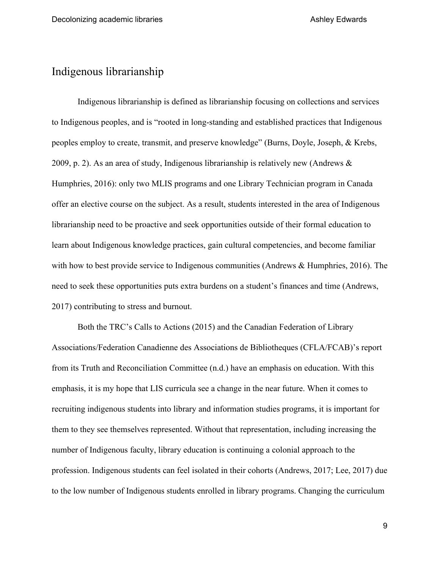#### Indigenous librarianship

Indigenous librarianship is defined as librarianship focusing on collections and services to Indigenous peoples, and is "rooted in long-standing and established practices that Indigenous peoples employ to create, transmit, and preserve knowledge" (Burns, Doyle, Joseph, & Krebs, 2009, p. 2). As an area of study, Indigenous librarianship is relatively new (Andrews & Humphries, 2016): only two MLIS programs and one Library Technician program in Canada offer an elective course on the subject. As a result, students interested in the area of Indigenous librarianship need to be proactive and seek opportunities outside of their formal education to learn about Indigenous knowledge practices, gain cultural competencies, and become familiar with how to best provide service to Indigenous communities (Andrews & Humphries, 2016). The need to seek these opportunities puts extra burdens on a student's finances and time (Andrews, 2017) contributing to stress and burnout.

Both the TRC's Calls to Actions (2015) and the Canadian Federation of Library Associations/Federation Canadienne des Associations de Bibliotheques (CFLA/FCAB)'s report from its Truth and Reconciliation Committee (n.d.) have an emphasis on education. With this emphasis, it is my hope that LIS curricula see a change in the near future. When it comes to recruiting indigenous students into library and information studies programs, it is important for them to they see themselves represented. Without that representation, including increasing the number of Indigenous faculty, library education is continuing a colonial approach to the profession. Indigenous students can feel isolated in their cohorts (Andrews, 2017; Lee, 2017) due to the low number of Indigenous students enrolled in library programs. Changing the curriculum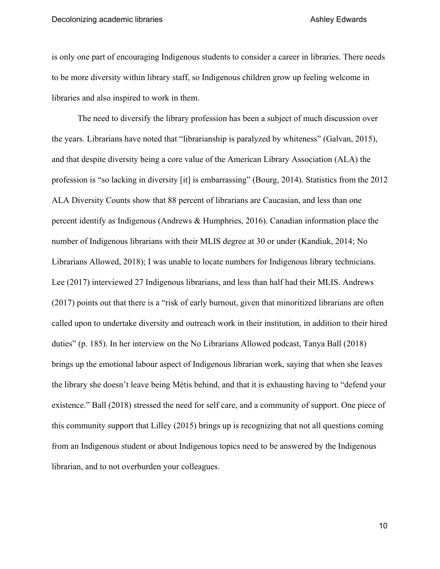is only one part of encouraging Indigenous students to consider a career in libraries. There needs to be more diversity within library staff, so Indigenous children grow up feeling welcome in libraries and also inspired to work in them.

The need to diversify the library profession has been a subject of much discussion over the years. Librarians have noted that "librarianship is paralyzed by whiteness" (Galvan, 2015), and that despite diversity being a core value of the American Library Association (ALA) the profession is "so lacking in diversity [it] is embarrassing" (Bourg, 2014). Statistics from the 2012 ALA Diversity Counts show that 88 percent of librarians are Caucasian, and less than one percent identify as Indigenous (Andrews & Humphries, 2016). Canadian information place the number of Indigenous librarians with their MLIS degree at 30 or under (Kandiuk, 2014; No Librarians Allowed, 2018); I was unable to locate numbers for Indigenous library technicians. Lee (2017) interviewed 27 Indigenous librarians, and less than half had their MLIS. Andrews (2017) points out that there is a "risk of early burnout, given that minoritized librarians are often called upon to undertake diversity and outreach work in their institution, in addition to their hired duties" (p. 185). In her interview on the No Librarians Allowed podcast, Tanya Ball (2018) brings up the emotional labour aspect of Indigenous librarian work, saying that when she leaves the library she doesn't leave being Métis behind, and that it is exhausting having to "defend your existence." Ball (2018) stressed the need for self care, and a community of support. One piece of this community support that Lilley (2015) brings up is recognizing that not all questions coming from an Indigenous student or about Indigenous topics need to be answered by the Indigenous librarian, and to not overburden your colleagues.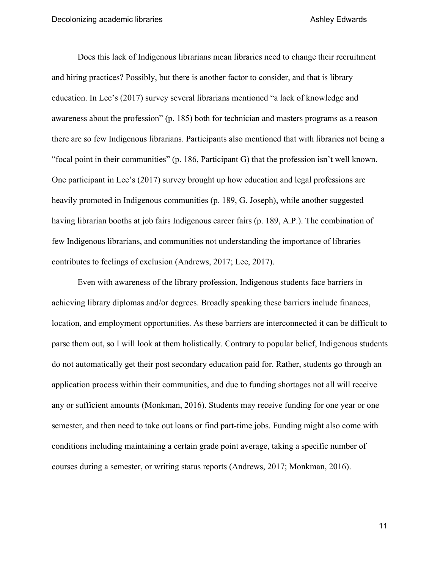Does this lack of Indigenous librarians mean libraries need to change their recruitment and hiring practices? Possibly, but there is another factor to consider, and that is library education. In Lee's (2017) survey several librarians mentioned "a lack of knowledge and awareness about the profession" (p. 185) both for technician and masters programs as a reason there are so few Indigenous librarians. Participants also mentioned that with libraries not being a "focal point in their communities" (p. 186, Participant G) that the profession isn't well known. One participant in Lee's (2017) survey brought up how education and legal professions are heavily promoted in Indigenous communities (p. 189, G. Joseph), while another suggested having librarian booths at job fairs Indigenous career fairs (p. 189, A.P.). The combination of few Indigenous librarians, and communities not understanding the importance of libraries contributes to feelings of exclusion (Andrews, 2017; Lee, 2017).

Even with awareness of the library profession, Indigenous students face barriers in achieving library diplomas and/or degrees. Broadly speaking these barriers include finances, location, and employment opportunities. As these barriers are interconnected it can be difficult to parse them out, so I will look at them holistically. Contrary to popular belief, Indigenous students do not automatically get their post secondary education paid for. Rather, students go through an application process within their communities, and due to funding shortages not all will receive any or sufficient amounts (Monkman, 2016). Students may receive funding for one year or one semester, and then need to take out loans or find part-time jobs. Funding might also come with conditions including maintaining a certain grade point average, taking a specific number of courses during a semester, or writing status reports (Andrews, 2017; Monkman, 2016).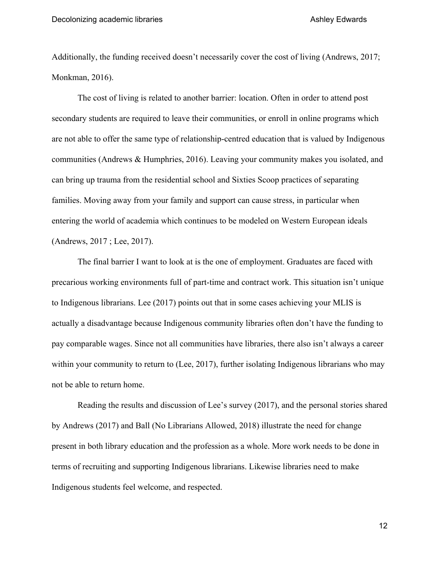Additionally, the funding received doesn't necessarily cover the cost of living (Andrews, 2017; Monkman, 2016).

The cost of living is related to another barrier: location. Often in order to attend post secondary students are required to leave their communities, or enroll in online programs which are not able to offer the same type of relationship-centred education that is valued by Indigenous communities (Andrews & Humphries, 2016). Leaving your community makes you isolated, and can bring up trauma from the residential school and Sixties Scoop practices of separating families. Moving away from your family and support can cause stress, in particular when entering the world of academia which continues to be modeled on Western European ideals (Andrews, 2017 ; Lee, 2017).

The final barrier I want to look at is the one of employment. Graduates are faced with precarious working environments full of part-time and contract work. This situation isn't unique to Indigenous librarians. Lee (2017) points out that in some cases achieving your MLIS is actually a disadvantage because Indigenous community libraries often don't have the funding to pay comparable wages. Since not all communities have libraries, there also isn't always a career within your community to return to (Lee, 2017), further isolating Indigenous librarians who may not be able to return home.

Reading the results and discussion of Lee's survey (2017), and the personal stories shared by Andrews (2017) and Ball (No Librarians Allowed, 2018) illustrate the need for change present in both library education and the profession as a whole. More work needs to be done in terms of recruiting and supporting Indigenous librarians. Likewise libraries need to make Indigenous students feel welcome, and respected.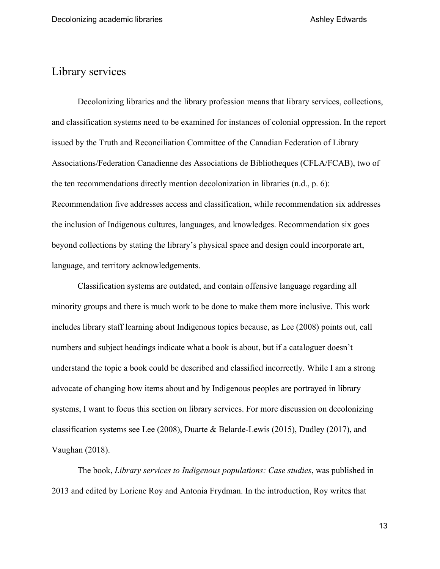#### Library services

Decolonizing libraries and the library profession means that library services, collections, and classification systems need to be examined for instances of colonial oppression. In the report issued by the Truth and Reconciliation Committee of the Canadian Federation of Library Associations/Federation Canadienne des Associations de Bibliotheques (CFLA/FCAB), two of the ten recommendations directly mention decolonization in libraries (n.d., p. 6): Recommendation five addresses access and classification, while recommendation six addresses the inclusion of Indigenous cultures, languages, and knowledges. Recommendation six goes beyond collections by stating the library's physical space and design could incorporate art, language, and territory acknowledgements.

Classification systems are outdated, and contain offensive language regarding all minority groups and there is much work to be done to make them more inclusive. This work includes library staff learning about Indigenous topics because, as Lee (2008) points out, call numbers and subject headings indicate what a book is about, but if a cataloguer doesn't understand the topic a book could be described and classified incorrectly. While I am a strong advocate of changing how items about and by Indigenous peoples are portrayed in library systems, I want to focus this section on library services. For more discussion on decolonizing classification systems see Lee (2008), Duarte & Belarde-Lewis (2015), Dudley (2017), and Vaughan (2018).

The book, *Library services to Indigenous populations: Case studies*, was published in 2013 and edited by Loriene Roy and Antonia Frydman. In the introduction, Roy writes that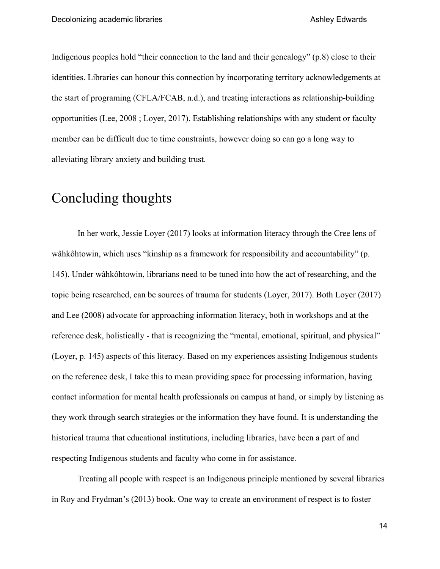Indigenous peoples hold "their connection to the land and their genealogy" (p.8) close to their identities. Libraries can honour this connection by incorporating territory acknowledgements at the start of programing (CFLA/FCAB, n.d.), and treating interactions as relationship-building opportunities (Lee, 2008 ; Loyer, 2017). Establishing relationships with any student or faculty member can be difficult due to time constraints, however doing so can go a long way to alleviating library anxiety and building trust.

# Concluding thoughts

In her work, Jessie Loyer (2017) looks at information literacy through the Cree lens of wâhkôhtowin, which uses "kinship as a framework for responsibility and accountability" (p. 145). Under wâhkôhtowin, librarians need to be tuned into how the act of researching, and the topic being researched, can be sources of trauma for students (Loyer, 2017). Both Loyer (2017) and Lee (2008) advocate for approaching information literacy, both in workshops and at the reference desk, holistically - that is recognizing the "mental, emotional, spiritual, and physical" (Loyer, p. 145) aspects of this literacy. Based on my experiences assisting Indigenous students on the reference desk, I take this to mean providing space for processing information, having contact information for mental health professionals on campus at hand, or simply by listening as they work through search strategies or the information they have found. It is understanding the historical trauma that educational institutions, including libraries, have been a part of and respecting Indigenous students and faculty who come in for assistance.

Treating all people with respect is an Indigenous principle mentioned by several libraries in Roy and Frydman's (2013) book. One way to create an environment of respect is to foster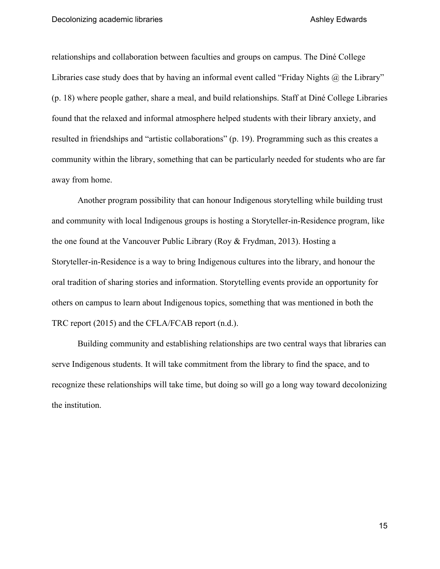relationships and collaboration between faculties and groups on campus. The Diné College Libraries case study does that by having an informal event called "Friday Nights @ the Library" (p. 18) where people gather, share a meal, and build relationships. Staff at Diné College Libraries found that the relaxed and informal atmosphere helped students with their library anxiety, and resulted in friendships and "artistic collaborations" (p. 19). Programming such as this creates a community within the library, something that can be particularly needed for students who are far away from home.

Another program possibility that can honour Indigenous storytelling while building trust and community with local Indigenous groups is hosting a Storyteller-in-Residence program, like the one found at the Vancouver Public Library (Roy & Frydman, 2013). Hosting a Storyteller-in-Residence is a way to bring Indigenous cultures into the library, and honour the oral tradition of sharing stories and information. Storytelling events provide an opportunity for others on campus to learn about Indigenous topics, something that was mentioned in both the TRC report (2015) and the CFLA/FCAB report (n.d.).

Building community and establishing relationships are two central ways that libraries can serve Indigenous students. It will take commitment from the library to find the space, and to recognize these relationships will take time, but doing so will go a long way toward decolonizing the institution.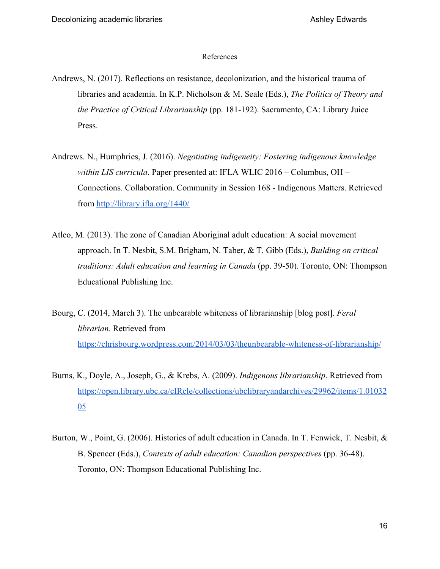#### References

- Andrews, N. (2017). Reflections on resistance, decolonization, and the historical trauma of libraries and academia. In K.P. Nicholson & M. Seale (Eds.), *The Politics of Theory and the Practice of Critical Librarianship* (pp. 181-192). Sacramento, CA: Library Juice Press.
- Andrews. N., Humphries, J. (2016). *Negotiating indigeneity: Fostering indigenous knowledge within LIS curricula*. Paper presented at: IFLA WLIC 2016 – Columbus, OH – Connections. Collaboration. Community in Session 168 - Indigenous Matters. Retrieved from<http://library.ifla.org/1440/>
- Atleo, M. (2013). The zone of Canadian Aboriginal adult education: A social movement approach. In T. Nesbit, S.M. Brigham, N. Taber, & T. Gibb (Eds.), *Building on critical traditions: Adult education and learning in Canada* (pp. 39-50). Toronto, ON: Thompson Educational Publishing Inc.
- Bourg, C. (2014, March 3). The unbearable whiteness of librarianship [blog post]. *Feral librarian*. Retrieved from <https://chrisbourg.wordpress.com/2014/03/03/theunbearable-whiteness-of-librarianship/>
- Burns, K., Doyle, A., Joseph, G., & Krebs, A. (2009). *Indigenous librarianship*. Retrieved from [https://open.library.ubc.ca/cIRcle/collections/ubclibraryandarchives/29962/items/1.01032](https://open.library.ubc.ca/cIRcle/collections/ubclibraryandarchives/29962/items/1.0103205) [05](https://open.library.ubc.ca/cIRcle/collections/ubclibraryandarchives/29962/items/1.0103205)
- Burton, W., Point, G. (2006). Histories of adult education in Canada. In T. Fenwick, T. Nesbit, & B. Spencer (Eds.), *Contexts of adult education: Canadian perspectives* (pp. 36-48). Toronto, ON: Thompson Educational Publishing Inc.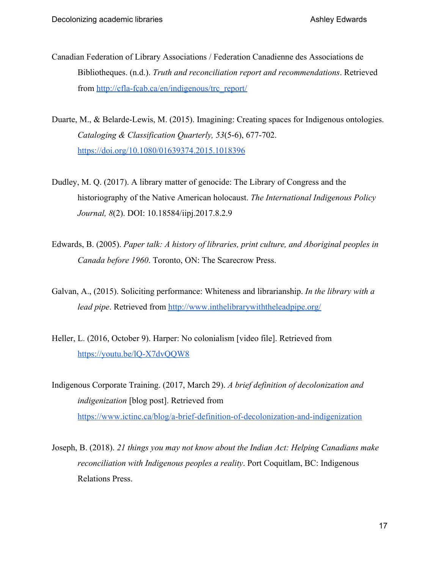- Canadian Federation of Library Associations / Federation Canadienne des Associations de Bibliotheques. (n.d.). *Truth and reconciliation report and recommendations*. Retrieved from [http://cfla-fcab.ca/en/indigenous/trc\\_report/](http://cfla-fcab.ca/en/indigenous/trc_report/)
- Duarte, M., & Belarde-Lewis, M. (2015). Imagining: Creating spaces for Indigenous ontologies. *Cataloging & Classification Quarterly, 53*(5-6), 677-702. <https://doi.org/10.1080/01639374.2015.1018396>
- Dudley, M. Q. (2017). A library matter of genocide: The Library of Congress and the historiography of the Native American holocaust. *The International Indigenous Policy Journal, 8*(2). DOI: 10.18584/iipj.2017.8.2.9
- Edwards, B. (2005). *Paper talk: A history of libraries, print culture, and Aboriginal peoples in Canada before 1960*. Toronto, ON: The Scarecrow Press.
- Galvan, A., (2015). Soliciting performance: Whiteness and librarianship. *In the library with a lead pipe*. Retrieved from<http://www.inthelibrarywiththeleadpipe.org/>
- Heller, L. (2016, October 9). Harper: No colonialism [video file]. Retrieved from <https://youtu.be/lQ-X7dvQQW8>
- Indigenous Corporate Training. (2017, March 29). *A brief definition of decolonization and indigenization* [blog post]. Retrieved from <https://www.ictinc.ca/blog/a-brief-definition-of-decolonization-and-indigenization>
- Joseph, B. (2018). *21 things you may not know about the Indian Act: Helping Canadians make reconciliation with Indigenous peoples a reality*. Port Coquitlam, BC: Indigenous Relations Press.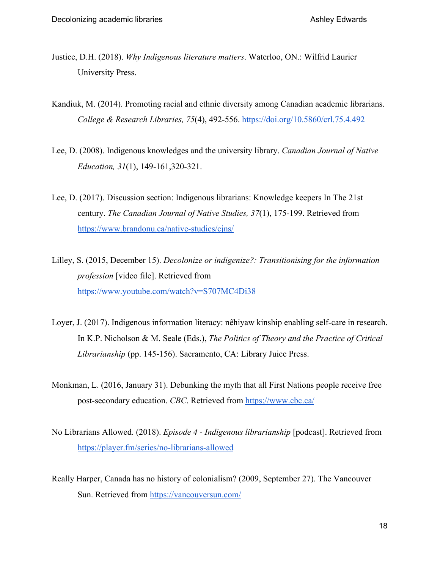- Justice, D.H. (2018). *Why Indigenous literature matters*. Waterloo, ON.: Wilfrid Laurier University Press.
- Kandiuk, M. (2014). Promoting racial and ethnic diversity among Canadian academic librarians. *College & Research Libraries, 75*(4), 492-556. <https://doi.org/10.5860/crl.75.4.492>
- Lee, D. (2008). Indigenous knowledges and the university library. *Canadian Journal of Native Education, 31*(1), 149-161,320-321.
- Lee, D. (2017). Discussion section: Indigenous librarians: Knowledge keepers In The 21st century. *The Canadian Journal of Native Studies, 37*(1), 175-199. Retrieved from <https://www.brandonu.ca/native-studies/cjns/>
- Lilley, S. (2015, December 15). *Decolonize or indigenize?: Transitionising for the information profession* [video file]. Retrieved from <https://www.youtube.com/watch?v=S707MC4Di38>
- Loyer, J. (2017). Indigenous information literacy: nêhiyaw kinship enabling self-care in research. In K.P. Nicholson & M. Seale (Eds.), *The Politics of Theory and the Practice of Critical Librarianship* (pp. 145-156). Sacramento, CA: Library Juice Press.
- Monkman, L. (2016, January 31). Debunking the myth that all First Nations people receive free post-secondary education. *CBC*. Retrieved from<https://www.cbc.ca/>
- No Librarians Allowed. (2018). *Episode 4 Indigenous librarianship* [podcast]. Retrieved from <https://player.fm/series/no-librarians-allowed>
- Really Harper, Canada has no history of colonialism? (2009, September 27). The Vancouver Sun. Retrieved from<https://vancouversun.com/>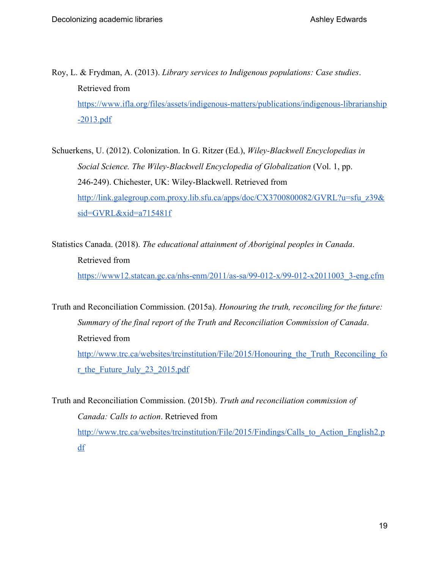Roy, L. & Frydman, A. (2013). *Library services to Indigenous populations: Case studies*. Retrieved from [https://www.ifla.org/files/assets/indigenous-matters/publications/indigenous-librarianship](https://www.ifla.org/files/assets/indigenous-matters/publications/indigenous-librarianship-2013.pdf) [-2013.pdf](https://www.ifla.org/files/assets/indigenous-matters/publications/indigenous-librarianship-2013.pdf)

Schuerkens, U. (2012). Colonization. In G. Ritzer (Ed.), *Wiley-Blackwell Encyclopedias in Social Science. The Wiley-Blackwell Encyclopedia of Globalization* (Vol. 1, pp. 246-249). Chichester, UK: Wiley-Blackwell. Retrieved from [http://link.galegroup.com.proxy.lib.sfu.ca/apps/doc/CX3700800082/GVRL?u=sfu\\_z39&](http://link.galegroup.com.proxy.lib.sfu.ca/apps/doc/CX3700800082/GVRL?u=sfu_z39&sid=GVRL&xid=a715481f) [sid=GVRL&xid=a715481f](http://link.galegroup.com.proxy.lib.sfu.ca/apps/doc/CX3700800082/GVRL?u=sfu_z39&sid=GVRL&xid=a715481f)

Statistics Canada. (2018). *The educational attainment of Aboriginal peoples in Canada*. Retrieved from [https://www12.statcan.gc.ca/nhs-enm/2011/as-sa/99-012-x/99-012-x2011003\\_3-eng.cfm](https://www12.statcan.gc.ca/nhs-enm/2011/as-sa/99-012-x/99-012-x2011003_3-eng.cfm)

Truth and Reconciliation Commission. (2015a). *Honouring the truth, reconciling for the future: Summary of the final report of the Truth and Reconciliation Commission of Canada*. Retrieved from http://www.trc.ca/websites/trcinstitution/File/2015/Honouring the Truth Reconciling fo [r\\_the\\_Future\\_July\\_23\\_2015.pdf](http://www.trc.ca/websites/trcinstitution/File/2015/Honouring_the_Truth_Reconciling_for_the_Future_July_23_2015.pdf)

Truth and Reconciliation Commission. (2015b). *Truth and reconciliation commission of Canada: Calls to action*. Retrieved from [http://www.trc.ca/websites/trcinstitution/File/2015/Findings/Calls\\_to\\_Action\\_English2.p](http://www.trc.ca/websites/trcinstitution/File/2015/Findings/Calls_to_Action_English2.pdf) [df](http://www.trc.ca/websites/trcinstitution/File/2015/Findings/Calls_to_Action_English2.pdf)